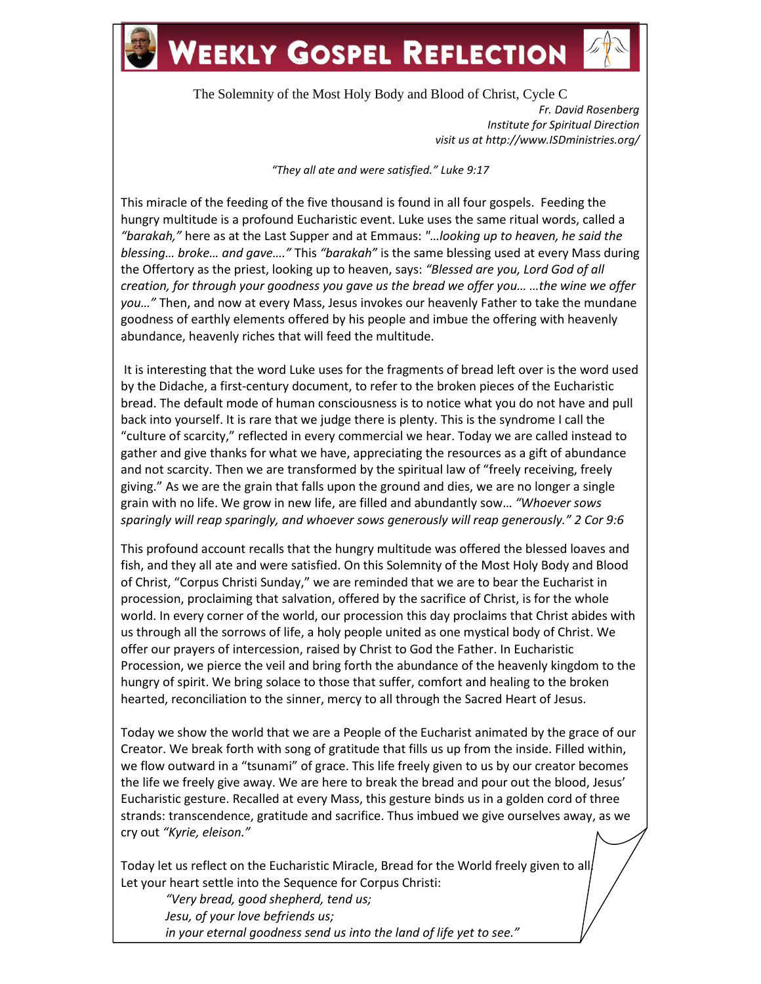

## **WEEKLY GOSPEL REFLECTION**



The Solemnity of the Most Holy Body and Blood of Christ, Cycle C *Fr. David Rosenberg Institute for Spiritual Direction visit us at http://www.ISDministries.org/*

*"They all ate and were satisfied." Luke 9:17*

This miracle of the feeding of the five thousand is found in all four gospels. Feeding the hungry multitude is a profound Eucharistic event. Luke uses the same ritual words, called a *"barakah,"* here as at the Last Supper and at Emmaus: *"…looking up to heaven, he said the blessing… broke… and gave…."* This *"barakah"* is the same blessing used at every Mass during the Offertory as the priest, looking up to heaven, says: *"Blessed are you, Lord God of all creation, for through your goodness you gave us the bread we offer you… …the wine we offer you…"* Then, and now at every Mass, Jesus invokes our heavenly Father to take the mundane goodness of earthly elements offered by his people and imbue the offering with heavenly abundance, heavenly riches that will feed the multitude.

It is interesting that the word Luke uses for the fragments of bread left over is the word used by the Didache, a first-century document, to refer to the broken pieces of the Eucharistic bread. The default mode of human consciousness is to notice what you do not have and pull back into yourself. It is rare that we judge there is plenty. This is the syndrome I call the "culture of scarcity," reflected in every commercial we hear. Today we are called instead to gather and give thanks for what we have, appreciating the resources as a gift of abundance and not scarcity. Then we are transformed by the spiritual law of "freely receiving, freely giving." As we are the grain that falls upon the ground and dies, we are no longer a single grain with no life. We grow in new life, are filled and abundantly sow… *"Whoever sows sparingly will reap sparingly, and whoever sows generously will reap generously." 2 Cor 9:6*

This profound account recalls that the hungry multitude was offered the blessed loaves and fish, and they all ate and were satisfied. On this Solemnity of the Most Holy Body and Blood of Christ, "Corpus Christi Sunday," we are reminded that we are to bear the Eucharist in procession, proclaiming that salvation, offered by the sacrifice of Christ, is for the whole world. In every corner of the world, our procession this day proclaims that Christ abides with us through all the sorrows of life, a holy people united as one mystical body of Christ. We offer our prayers of intercession, raised by Christ to God the Father. In Eucharistic Procession, we pierce the veil and bring forth the abundance of the heavenly kingdom to the hungry of spirit. We bring solace to those that suffer, comfort and healing to the broken hearted, reconciliation to the sinner, mercy to all through the Sacred Heart of Jesus.

Today we show the world that we are a People of the Eucharist animated by the grace of our Creator. We break forth with song of gratitude that fills us up from the inside. Filled within, we flow outward in a "tsunami" of grace. This life freely given to us by our creator becomes the life we freely give away. We are here to break the bread and pour out the blood, Jesus' Eucharistic gesture. Recalled at every Mass, this gesture binds us in a golden cord of three strands: transcendence, gratitude and sacrifice. Thus imbued we give ourselves away, as we cry out *"Kyrie, eleison."*

Today let us reflect on the Eucharistic Miracle, Bread for the World freely given to all. Let your heart settle into the Sequence for Corpus Christi:

*"Very bread, good shepherd, tend us; Jesu, of your love befriends us; in your eternal goodness send us into the land of life yet to see."*